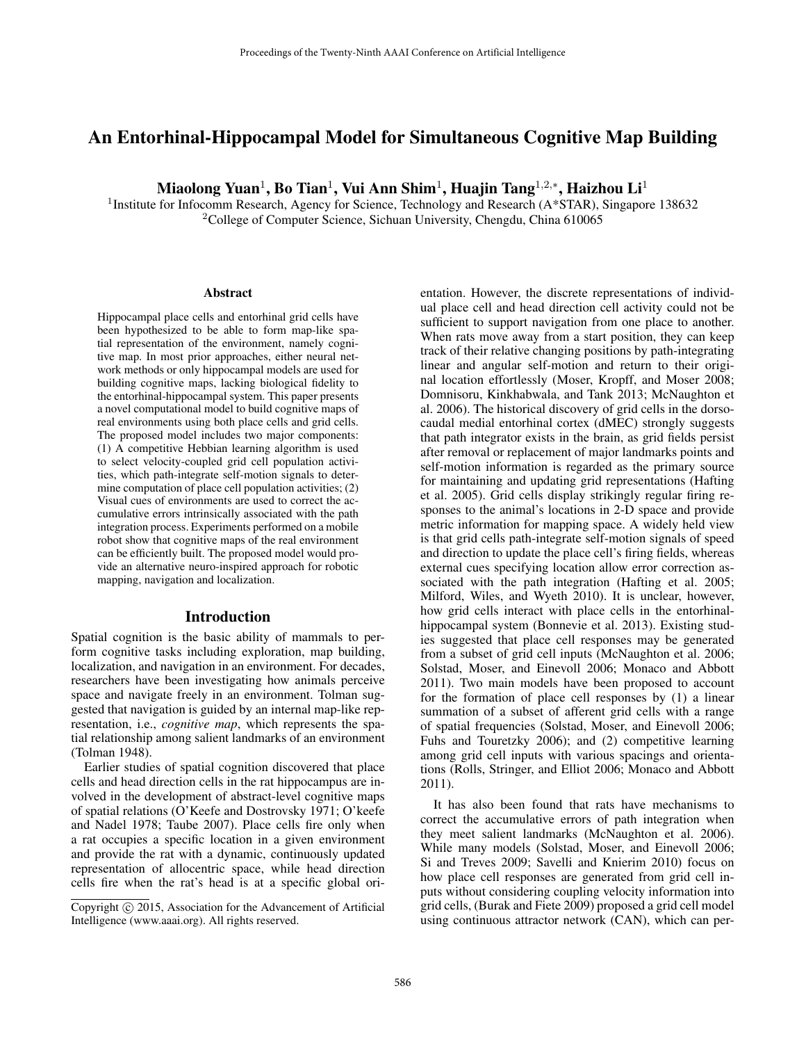# An Entorhinal-Hippocampal Model for Simultaneous Cognitive Map Building

Miaolong Yuan $^1$ , Bo Tian $^1$ , Vui Ann Shim $^1$ , Huajin Tang $^{1,2,*},$  Haizhou Li $^1$ 

<sup>1</sup>Institute for Infocomm Research, Agency for Science, Technology and Research (A\*STAR), Singapore 138632 <sup>2</sup>College of Computer Science, Sichuan University, Chengdu, China 610065

#### **Abstract**

Hippocampal place cells and entorhinal grid cells have been hypothesized to be able to form map-like spatial representation of the environment, namely cognitive map. In most prior approaches, either neural network methods or only hippocampal models are used for building cognitive maps, lacking biological fidelity to the entorhinal-hippocampal system. This paper presents a novel computational model to build cognitive maps of real environments using both place cells and grid cells. The proposed model includes two major components: (1) A competitive Hebbian learning algorithm is used to select velocity-coupled grid cell population activities, which path-integrate self-motion signals to determine computation of place cell population activities; (2) Visual cues of environments are used to correct the accumulative errors intrinsically associated with the path integration process. Experiments performed on a mobile robot show that cognitive maps of the real environment can be efficiently built. The proposed model would provide an alternative neuro-inspired approach for robotic mapping, navigation and localization.

#### Introduction

Spatial cognition is the basic ability of mammals to perform cognitive tasks including exploration, map building, localization, and navigation in an environment. For decades, researchers have been investigating how animals perceive space and navigate freely in an environment. Tolman suggested that navigation is guided by an internal map-like representation, i.e., *cognitive map*, which represents the spatial relationship among salient landmarks of an environment (Tolman 1948).

Earlier studies of spatial cognition discovered that place cells and head direction cells in the rat hippocampus are involved in the development of abstract-level cognitive maps of spatial relations (O'Keefe and Dostrovsky 1971; O'keefe and Nadel 1978; Taube 2007). Place cells fire only when a rat occupies a specific location in a given environment and provide the rat with a dynamic, continuously updated representation of allocentric space, while head direction cells fire when the rat's head is at a specific global orientation. However, the discrete representations of individual place cell and head direction cell activity could not be sufficient to support navigation from one place to another. When rats move away from a start position, they can keep track of their relative changing positions by path-integrating linear and angular self-motion and return to their original location effortlessly (Moser, Kropff, and Moser 2008; Domnisoru, Kinkhabwala, and Tank 2013; McNaughton et al. 2006). The historical discovery of grid cells in the dorsocaudal medial entorhinal cortex (dMEC) strongly suggests that path integrator exists in the brain, as grid fields persist after removal or replacement of major landmarks points and self-motion information is regarded as the primary source for maintaining and updating grid representations (Hafting et al. 2005). Grid cells display strikingly regular firing responses to the animal's locations in 2-D space and provide metric information for mapping space. A widely held view is that grid cells path-integrate self-motion signals of speed and direction to update the place cell's firing fields, whereas external cues specifying location allow error correction associated with the path integration (Hafting et al. 2005; Milford, Wiles, and Wyeth 2010). It is unclear, however, how grid cells interact with place cells in the entorhinalhippocampal system (Bonnevie et al. 2013). Existing studies suggested that place cell responses may be generated from a subset of grid cell inputs (McNaughton et al. 2006; Solstad, Moser, and Einevoll 2006; Monaco and Abbott 2011). Two main models have been proposed to account for the formation of place cell responses by (1) a linear summation of a subset of afferent grid cells with a range of spatial frequencies (Solstad, Moser, and Einevoll 2006; Fuhs and Touretzky 2006); and (2) competitive learning among grid cell inputs with various spacings and orientations (Rolls, Stringer, and Elliot 2006; Monaco and Abbott 2011).

It has also been found that rats have mechanisms to correct the accumulative errors of path integration when they meet salient landmarks (McNaughton et al. 2006). While many models (Solstad, Moser, and Einevoll 2006; Si and Treves 2009; Savelli and Knierim 2010) focus on how place cell responses are generated from grid cell inputs without considering coupling velocity information into grid cells, (Burak and Fiete 2009) proposed a grid cell model using continuous attractor network (CAN), which can per-

Copyright  $\odot$  2015, Association for the Advancement of Artificial Intelligence (www.aaai.org). All rights reserved.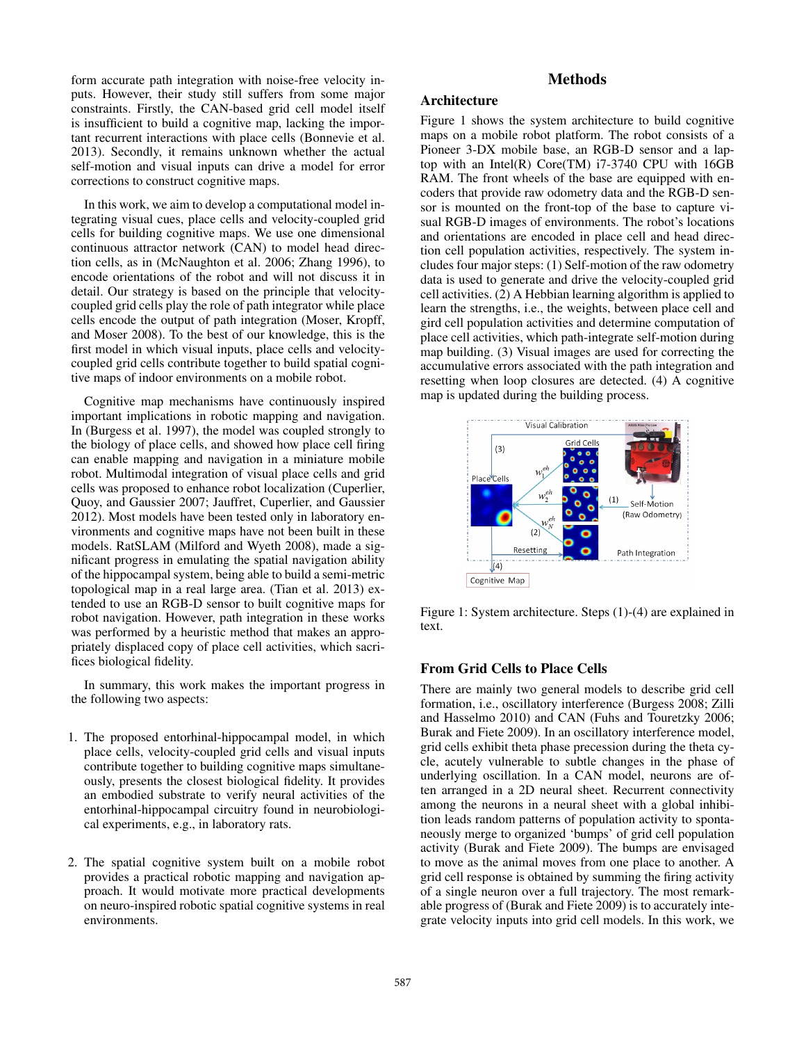form accurate path integration with noise-free velocity inputs. However, their study still suffers from some major constraints. Firstly, the CAN-based grid cell model itself is insufficient to build a cognitive map, lacking the important recurrent interactions with place cells (Bonnevie et al. 2013). Secondly, it remains unknown whether the actual self-motion and visual inputs can drive a model for error corrections to construct cognitive maps.

In this work, we aim to develop a computational model integrating visual cues, place cells and velocity-coupled grid cells for building cognitive maps. We use one dimensional continuous attractor network (CAN) to model head direction cells, as in (McNaughton et al. 2006; Zhang 1996), to encode orientations of the robot and will not discuss it in detail. Our strategy is based on the principle that velocitycoupled grid cells play the role of path integrator while place cells encode the output of path integration (Moser, Kropff, and Moser 2008). To the best of our knowledge, this is the first model in which visual inputs, place cells and velocitycoupled grid cells contribute together to build spatial cognitive maps of indoor environments on a mobile robot.

Cognitive map mechanisms have continuously inspired important implications in robotic mapping and navigation. In (Burgess et al. 1997), the model was coupled strongly to the biology of place cells, and showed how place cell firing can enable mapping and navigation in a miniature mobile robot. Multimodal integration of visual place cells and grid cells was proposed to enhance robot localization (Cuperlier, Quoy, and Gaussier 2007; Jauffret, Cuperlier, and Gaussier 2012). Most models have been tested only in laboratory environments and cognitive maps have not been built in these models. RatSLAM (Milford and Wyeth 2008), made a significant progress in emulating the spatial navigation ability of the hippocampal system, being able to build a semi-metric topological map in a real large area. (Tian et al. 2013) extended to use an RGB-D sensor to built cognitive maps for robot navigation. However, path integration in these works was performed by a heuristic method that makes an appropriately displaced copy of place cell activities, which sacrifices biological fidelity.

In summary, this work makes the important progress in the following two aspects:

- 1. The proposed entorhinal-hippocampal model, in which place cells, velocity-coupled grid cells and visual inputs contribute together to building cognitive maps simultaneously, presents the closest biological fidelity. It provides an embodied substrate to verify neural activities of the entorhinal-hippocampal circuitry found in neurobiological experiments, e.g., in laboratory rats.
- 2. The spatial cognitive system built on a mobile robot provides a practical robotic mapping and navigation approach. It would motivate more practical developments on neuro-inspired robotic spatial cognitive systems in real environments.

## **Methods**

## Architecture

Figure 1 shows the system architecture to build cognitive maps on a mobile robot platform. The robot consists of a Pioneer 3-DX mobile base, an RGB-D sensor and a laptop with an Intel(R) Core(TM) i7-3740 CPU with 16GB RAM. The front wheels of the base are equipped with encoders that provide raw odometry data and the RGB-D sensor is mounted on the front-top of the base to capture visual RGB-D images of environments. The robot's locations and orientations are encoded in place cell and head direction cell population activities, respectively. The system includes four major steps: (1) Self-motion of the raw odometry data is used to generate and drive the velocity-coupled grid cell activities. (2) A Hebbian learning algorithm is applied to learn the strengths, i.e., the weights, between place cell and gird cell population activities and determine computation of place cell activities, which path-integrate self-motion during map building. (3) Visual images are used for correcting the accumulative errors associated with the path integration and resetting when loop closures are detected. (4) A cognitive map is updated during the building process.



Figure 1: System architecture. Steps (1)-(4) are explained in text.

### From Grid Cells to Place Cells

There are mainly two general models to describe grid cell formation, i.e., oscillatory interference (Burgess 2008; Zilli and Hasselmo 2010) and CAN (Fuhs and Touretzky 2006; Burak and Fiete 2009). In an oscillatory interference model, grid cells exhibit theta phase precession during the theta cycle, acutely vulnerable to subtle changes in the phase of underlying oscillation. In a CAN model, neurons are often arranged in a 2D neural sheet. Recurrent connectivity among the neurons in a neural sheet with a global inhibition leads random patterns of population activity to spontaneously merge to organized 'bumps' of grid cell population activity (Burak and Fiete 2009). The bumps are envisaged to move as the animal moves from one place to another. A grid cell response is obtained by summing the firing activity of a single neuron over a full trajectory. The most remarkable progress of (Burak and Fiete 2009) is to accurately integrate velocity inputs into grid cell models. In this work, we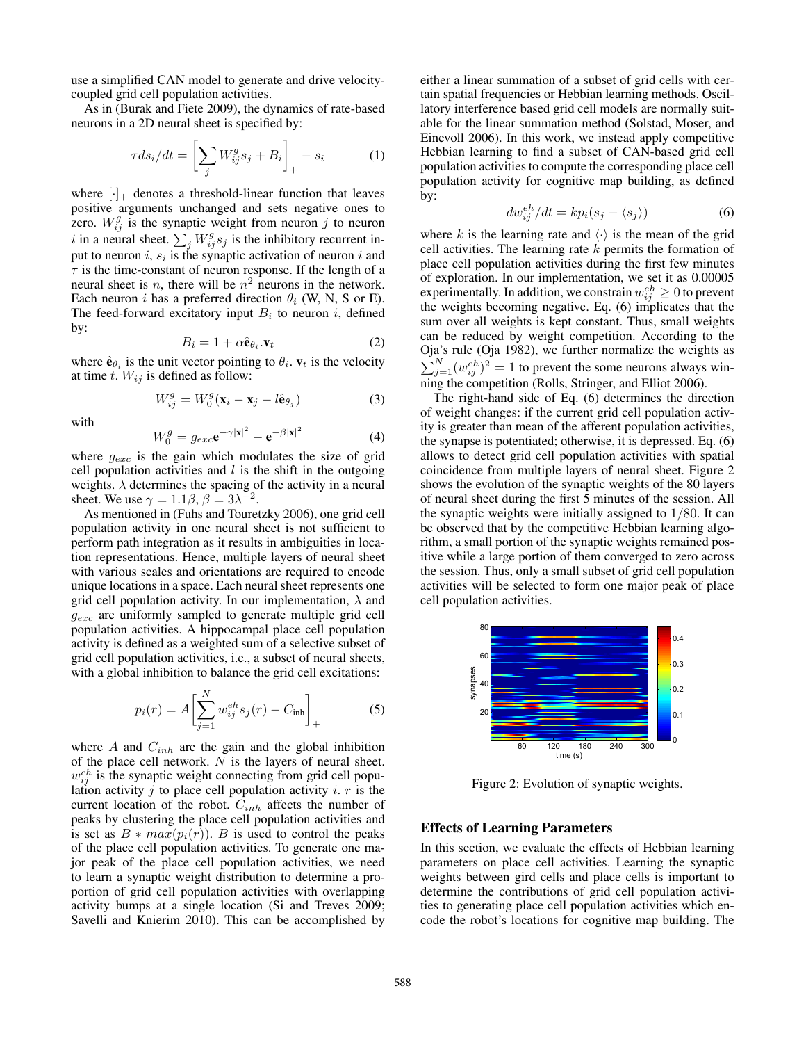use a simplified CAN model to generate and drive velocitycoupled grid cell population activities.

As in (Burak and Fiete 2009), the dynamics of rate-based neurons in a 2D neural sheet is specified by:

$$
\tau ds_i/dt = \left[\sum_j W_{ij}^g s_j + B_i\right]_+ - s_i \tag{1}
$$

where  $[\cdot]_+$  denotes a threshold-linear function that leaves positive arguments unchanged and sets negative ones to zero.  $W_{ij}^g$  is the synaptic weight from neuron j to neuron i in a neural sheet.  $\sum_j W_{ij}^g s_j$  is the inhibitory recurrent input to neuron  $i, s_i$  is the synaptic activation of neuron  $i$  and  $\tau$  is the time-constant of neuron response. If the length of a neural sheet is *n*, there will be  $n^2$  neurons in the network. Each neuron i has a preferred direction  $\theta_i$  (W, N, S or E). The feed-forward excitatory input  $B_i$  to neuron i, defined by:

$$
B_i = 1 + \alpha \hat{\mathbf{e}}_{\theta_i} . \mathbf{v}_t \tag{2}
$$

where  $\hat{\mathbf{e}}_{\theta_i}$  is the unit vector pointing to  $\theta_i$ .  $\mathbf{v}_t$  is the velocity at time t.  $W_{ij}$  is defined as follow:

$$
W_{ij}^g = W_0^g(\mathbf{x}_i - \mathbf{x}_j - l\hat{\mathbf{e}}_{\theta_j})
$$
\n(3)

with

$$
W_0^g = g_{exc} \mathbf{e}^{-\gamma |\mathbf{x}|^2} - \mathbf{e}^{-\beta |\mathbf{x}|^2}
$$
 (4)

where  $g_{exc}$  is the gain which modulates the size of grid cell population activities and  $l$  is the shift in the outgoing weights.  $\lambda$  determines the spacing of the activity in a neural sheet. We use  $\gamma = 1.1\beta$ ,  $\beta = 3\lambda^{-2}$ .

As mentioned in (Fuhs and Touretzky 2006), one grid cell population activity in one neural sheet is not sufficient to perform path integration as it results in ambiguities in location representations. Hence, multiple layers of neural sheet with various scales and orientations are required to encode unique locations in a space. Each neural sheet represents one grid cell population activity. In our implementation,  $\lambda$  and  $g_{exc}$  are uniformly sampled to generate multiple grid cell population activities. A hippocampal place cell population activity is defined as a weighted sum of a selective subset of grid cell population activities, i.e., a subset of neural sheets, with a global inhibition to balance the grid cell excitations:

$$
p_i(r) = A \left[ \sum_{j=1}^{N} w_{ij}^{eh} s_j(r) - C_{\text{inh}} \right]_+
$$
 (5)

where  $A$  and  $C_{inh}$  are the gain and the global inhibition of the place cell network. N is the layers of neural sheet.  $w_{ij}^{eh}$  is the synaptic weight connecting from grid cell population activity  $j$  to place cell population activity  $i$ .  $r$  is the current location of the robot.  $C_{inh}$  affects the number of peaks by clustering the place cell population activities and is set as  $B * max(p_i(r))$ . B is used to control the peaks of the place cell population activities. To generate one major peak of the place cell population activities, we need to learn a synaptic weight distribution to determine a proportion of grid cell population activities with overlapping activity bumps at a single location (Si and Treves 2009; Savelli and Knierim 2010). This can be accomplished by either a linear summation of a subset of grid cells with certain spatial frequencies or Hebbian learning methods. Oscillatory interference based grid cell models are normally suitable for the linear summation method (Solstad, Moser, and Einevoll 2006). In this work, we instead apply competitive Hebbian learning to find a subset of CAN-based grid cell population activities to compute the corresponding place cell population activity for cognitive map building, as defined by:

$$
dw_{ij}^{eh}/dt = kp_i(s_j - \langle s_j \rangle)
$$
 (6)

where k is the learning rate and  $\langle \cdot \rangle$  is the mean of the grid cell activities. The learning rate  $k$  permits the formation of place cell population activities during the first few minutes of exploration. In our implementation, we set it as 0.00005 experimentally. In addition, we constrain  $w_{ij}^{eh} \geq 0$  to prevent the weights becoming negative. Eq. (6) implicates that the sum over all weights is kept constant. Thus, small weights can be reduced by weight competition. According to the Oja's rule (Oja 1982), we further normalize the weights as  $\sum_{j=1}^{N} (w_{ij}^{eh})^2 = 1$  to prevent the some neurons always winning the competition (Rolls, Stringer, and Elliot 2006).

The right-hand side of Eq. (6) determines the direction of weight changes: if the current grid cell population activity is greater than mean of the afferent population activities, the synapse is potentiated; otherwise, it is depressed. Eq. (6) allows to detect grid cell population activities with spatial coincidence from multiple layers of neural sheet. Figure 2 shows the evolution of the synaptic weights of the 80 layers of neural sheet during the first 5 minutes of the session. All the synaptic weights were initially assigned to  $1/80$ . It can be observed that by the competitive Hebbian learning algorithm, a small portion of the synaptic weights remained positive while a large portion of them converged to zero across the session. Thus, only a small subset of grid cell population activities will be selected to form one major peak of place cell population activities.



Figure 2: Evolution of synaptic weights.

### Effects of Learning Parameters

In this section, we evaluate the effects of Hebbian learning parameters on place cell activities. Learning the synaptic weights between gird cells and place cells is important to determine the contributions of grid cell population activities to generating place cell population activities which encode the robot's locations for cognitive map building. The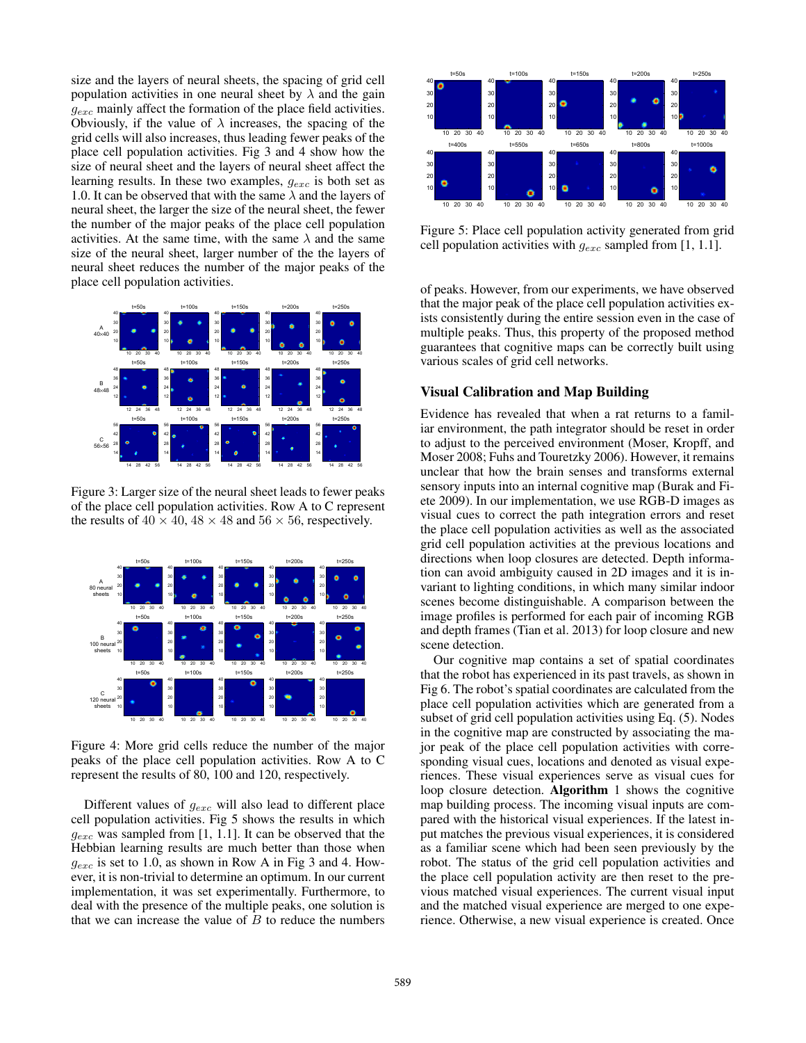size and the layers of neural sheets, the spacing of grid cell population activities in one neural sheet by  $\lambda$  and the gain  $g_{exc}$  mainly affect the formation of the place field activities. Obviously, if the value of  $\lambda$  increases, the spacing of the grid cells will also increases, thus leading fewer peaks of the place cell population activities. Fig 3 and 4 show how the size of neural sheet and the layers of neural sheet affect the learning results. In these two examples,  $g_{exc}$  is both set as 1.0. It can be observed that with the same  $\lambda$  and the layers of neural sheet, the larger the size of the neural sheet, the fewer the number of the major peaks of the place cell population activities. At the same time, with the same  $\lambda$  and the same size of the neural sheet, larger number of the the layers of neural sheet reduces the number of the major peaks of the place cell population activities.



Figure 3: Larger size of the neural sheet leads to fewer peaks of the place cell population activities. Row A to C represent the results of  $40 \times 40$ ,  $48 \times 48$  and  $56 \times 56$ , respectively.



Figure 4: More grid cells reduce the number of the major peaks of the place cell population activities. Row A to C represent the results of 80, 100 and 120, respectively.

Different values of  $g_{exc}$  will also lead to different place cell population activities. Fig 5 shows the results in which  $g_{exc}$  was sampled from [1, 1.1]. It can be observed that the Hebbian learning results are much better than those when  $g_{exc}$  is set to 1.0, as shown in Row A in Fig 3 and 4. However, it is non-trivial to determine an optimum. In our current implementation, it was set experimentally. Furthermore, to deal with the presence of the multiple peaks, one solution is that we can increase the value of  $B$  to reduce the numbers



Figure 5: Place cell population activity generated from grid cell population activities with  $g_{exc}$  sampled from [1, 1.1].

of peaks. However, from our experiments, we have observed that the major peak of the place cell population activities exists consistently during the entire session even in the case of multiple peaks. Thus, this property of the proposed method guarantees that cognitive maps can be correctly built using various scales of grid cell networks.

### Visual Calibration and Map Building

Evidence has revealed that when a rat returns to a familiar environment, the path integrator should be reset in order to adjust to the perceived environment (Moser, Kropff, and Moser 2008; Fuhs and Touretzky 2006). However, it remains unclear that how the brain senses and transforms external sensory inputs into an internal cognitive map (Burak and Fiete 2009). In our implementation, we use RGB-D images as visual cues to correct the path integration errors and reset the place cell population activities as well as the associated grid cell population activities at the previous locations and directions when loop closures are detected. Depth information can avoid ambiguity caused in 2D images and it is invariant to lighting conditions, in which many similar indoor scenes become distinguishable. A comparison between the image profiles is performed for each pair of incoming RGB and depth frames (Tian et al. 2013) for loop closure and new scene detection.

Our cognitive map contains a set of spatial coordinates that the robot has experienced in its past travels, as shown in Fig 6. The robot's spatial coordinates are calculated from the place cell population activities which are generated from a subset of grid cell population activities using Eq. (5). Nodes in the cognitive map are constructed by associating the major peak of the place cell population activities with corresponding visual cues, locations and denoted as visual experiences. These visual experiences serve as visual cues for loop closure detection. Algorithm 1 shows the cognitive map building process. The incoming visual inputs are compared with the historical visual experiences. If the latest input matches the previous visual experiences, it is considered as a familiar scene which had been seen previously by the robot. The status of the grid cell population activities and the place cell population activity are then reset to the previous matched visual experiences. The current visual input and the matched visual experience are merged to one experience. Otherwise, a new visual experience is created. Once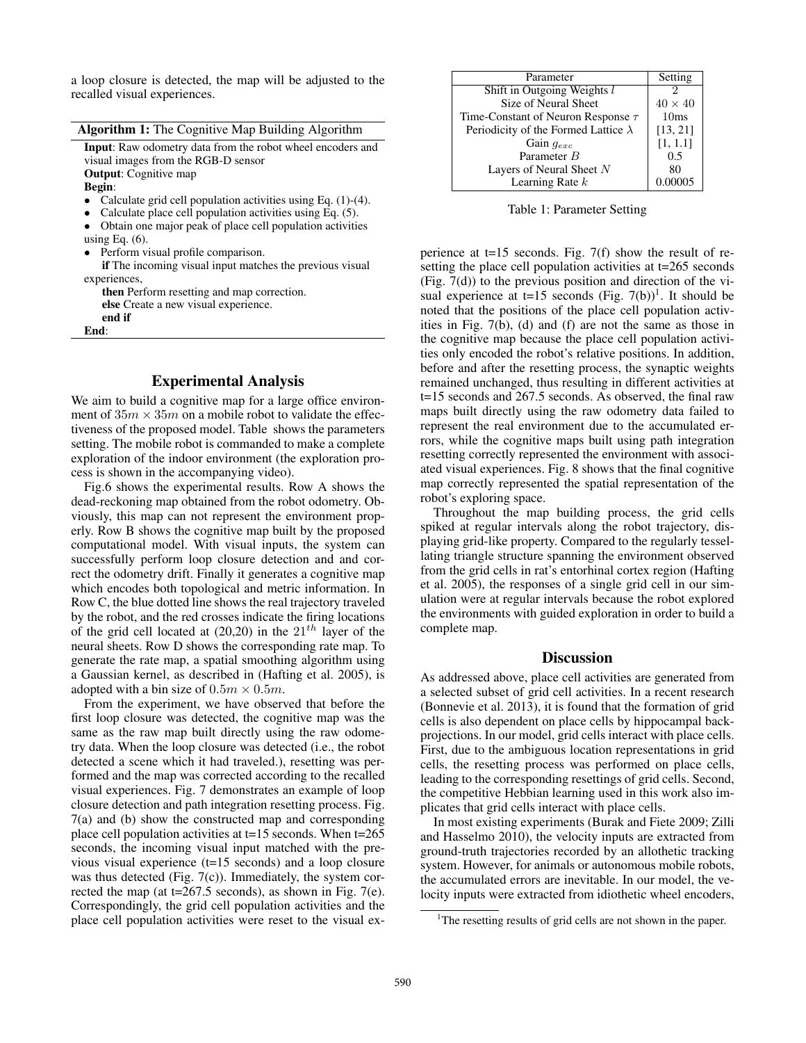a loop closure is detected, the map will be adjusted to the recalled visual experiences.

| <b>Algorithm 1:</b> The Cognitive Map Building Algorithm          |  |  |  |  |
|-------------------------------------------------------------------|--|--|--|--|
| <b>Input:</b> Raw odometry data from the robot wheel encoders and |  |  |  |  |
| visual images from the RGB-D sensor                               |  |  |  |  |
| <b>Output:</b> Cognitive map                                      |  |  |  |  |
| <b>Begin:</b>                                                     |  |  |  |  |
| Calculate grid cell population activities using Eq. (1)-(4).      |  |  |  |  |
| Calculate place cell population activities using Eq. (5).         |  |  |  |  |
| Obtain one major peak of place cell population activities         |  |  |  |  |
| using Eq. $(6)$ .                                                 |  |  |  |  |
| • Perform visual profile comparison.                              |  |  |  |  |
| <b>if</b> The incoming visual input matches the previous visual   |  |  |  |  |
| experiences,                                                      |  |  |  |  |
| <b>then</b> Perform resetting and map correction.                 |  |  |  |  |
| else Create a new visual experience.                              |  |  |  |  |
| end if                                                            |  |  |  |  |
| End:                                                              |  |  |  |  |

## Experimental Analysis

We aim to build a cognitive map for a large office environment of  $35m \times 35m$  on a mobile robot to validate the effectiveness of the proposed model. Table shows the parameters setting. The mobile robot is commanded to make a complete exploration of the indoor environment (the exploration process is shown in the accompanying video).

Fig.6 shows the experimental results. Row A shows the dead-reckoning map obtained from the robot odometry. Obviously, this map can not represent the environment properly. Row B shows the cognitive map built by the proposed computational model. With visual inputs, the system can successfully perform loop closure detection and and correct the odometry drift. Finally it generates a cognitive map which encodes both topological and metric information. In Row C, the blue dotted line shows the real trajectory traveled by the robot, and the red crosses indicate the firing locations of the grid cell located at  $(20,20)$  in the  $21<sup>th</sup>$  layer of the neural sheets. Row D shows the corresponding rate map. To generate the rate map, a spatial smoothing algorithm using a Gaussian kernel, as described in (Hafting et al. 2005), is adopted with a bin size of  $0.5m \times 0.5m$ .

From the experiment, we have observed that before the first loop closure was detected, the cognitive map was the same as the raw map built directly using the raw odometry data. When the loop closure was detected (i.e., the robot detected a scene which it had traveled.), resetting was performed and the map was corrected according to the recalled visual experiences. Fig. 7 demonstrates an example of loop closure detection and path integration resetting process. Fig. 7(a) and (b) show the constructed map and corresponding place cell population activities at t=15 seconds. When t=265 seconds, the incoming visual input matched with the previous visual experience (t=15 seconds) and a loop closure was thus detected (Fig. 7(c)). Immediately, the system corrected the map (at  $t=267.5$  seconds), as shown in Fig. 7(e). Correspondingly, the grid cell population activities and the place cell population activities were reset to the visual ex-

| Parameter                                   | Setting        |
|---------------------------------------------|----------------|
| Shift in Outgoing Weights l                 |                |
| Size of Neural Sheet                        | $40 \times 40$ |
| Time-Constant of Neuron Response $\tau$     | 10ms           |
| Periodicity of the Formed Lattice $\lambda$ | [13, 21]       |
| Gain $q_{exc}$                              | [1, 1.1]       |
| Parameter B                                 | 0.5            |
| Layers of Neural Sheet N                    | 80             |
| Learning Rate $k$                           | 0.00005        |

Table 1: Parameter Setting

perience at t=15 seconds. Fig. 7(f) show the result of resetting the place cell population activities at t=265 seconds (Fig. 7(d)) to the previous position and direction of the visual experience at  $t=15$  seconds (Fig. 7(b))<sup>1</sup>. It should be noted that the positions of the place cell population activities in Fig. 7(b), (d) and (f) are not the same as those in the cognitive map because the place cell population activities only encoded the robot's relative positions. In addition, before and after the resetting process, the synaptic weights remained unchanged, thus resulting in different activities at t=15 seconds and 267.5 seconds. As observed, the final raw maps built directly using the raw odometry data failed to represent the real environment due to the accumulated errors, while the cognitive maps built using path integration resetting correctly represented the environment with associated visual experiences. Fig. 8 shows that the final cognitive map correctly represented the spatial representation of the robot's exploring space.

Throughout the map building process, the grid cells spiked at regular intervals along the robot trajectory, displaying grid-like property. Compared to the regularly tessellating triangle structure spanning the environment observed from the grid cells in rat's entorhinal cortex region (Hafting et al. 2005), the responses of a single grid cell in our simulation were at regular intervals because the robot explored the environments with guided exploration in order to build a complete map.

#### **Discussion**

As addressed above, place cell activities are generated from a selected subset of grid cell activities. In a recent research (Bonnevie et al. 2013), it is found that the formation of grid cells is also dependent on place cells by hippocampal backprojections. In our model, grid cells interact with place cells. First, due to the ambiguous location representations in grid cells, the resetting process was performed on place cells, leading to the corresponding resettings of grid cells. Second, the competitive Hebbian learning used in this work also implicates that grid cells interact with place cells.

In most existing experiments (Burak and Fiete 2009; Zilli and Hasselmo 2010), the velocity inputs are extracted from ground-truth trajectories recorded by an allothetic tracking system. However, for animals or autonomous mobile robots, the accumulated errors are inevitable. In our model, the velocity inputs were extracted from idiothetic wheel encoders,

<sup>&</sup>lt;sup>1</sup>The resetting results of grid cells are not shown in the paper.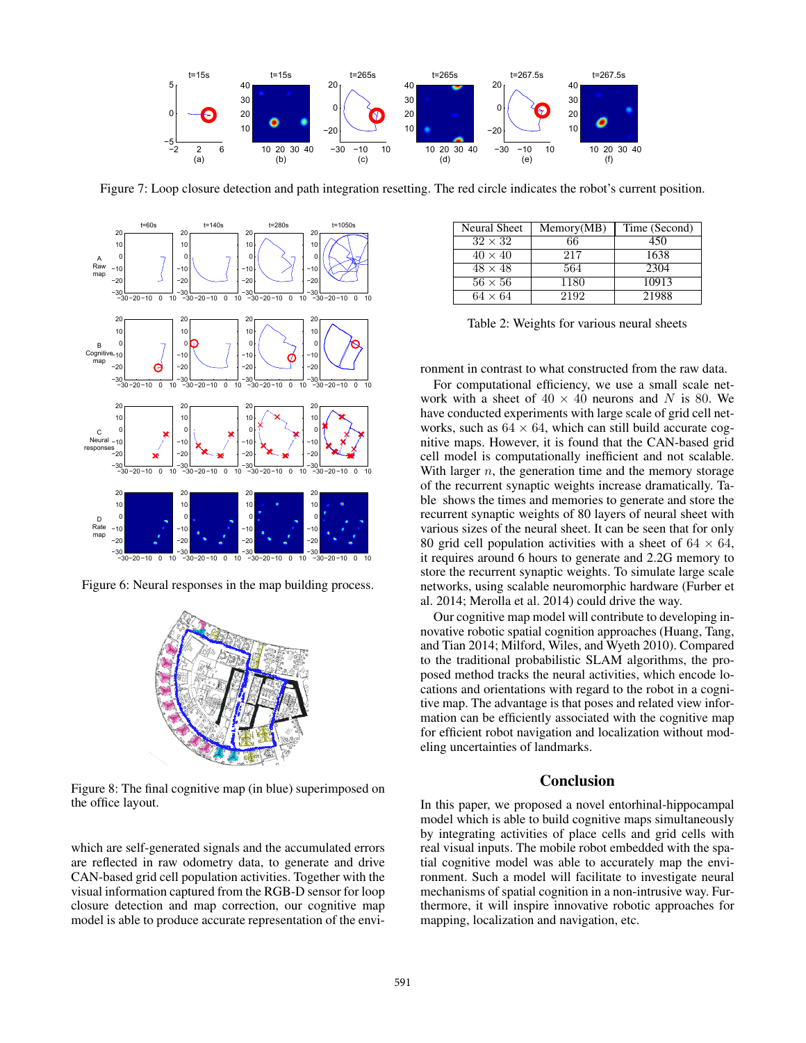

Figure 7: Loop closure detection and path integration resetting. The red circle indicates the robot's current position.



Figure 6: Neural responses in the map building process.



Figure 8: The final cognitive map (in blue) superimposed on the office layout.

which are self-generated signals and the accumulated errors are reflected in raw odometry data, to generate and drive CAN-based grid cell population activities. Together with the visual information captured from the RGB-D sensor for loop closure detection and map correction, our cognitive map model is able to produce accurate representation of the envi-

| Neural Sheet   | Memory(MB) | Time (Second) |
|----------------|------------|---------------|
| $32 \times 32$ | 66         | 450           |
| $40 \times 40$ | 217        | 1638          |
| $48 \times 48$ | 564        | 2304          |
| $56 \times 56$ | 1180       | 10913         |
| $64 \times 64$ | 2192       | 21988         |

|  |  | Table 2: Weights for various neural sheets |  |
|--|--|--------------------------------------------|--|
|  |  |                                            |  |

ronment in contrast to what constructed from the raw data.

For computational efficiency, we use a small scale network with a sheet of  $40 \times 40$  neurons and N is 80. We have conducted experiments with large scale of grid cell networks, such as  $64 \times 64$ , which can still build accurate cognitive maps. However, it is found that the CAN-based grid cell model is computationally inefficient and not scalable. With larger  $n$ , the generation time and the memory storage of the recurrent synaptic weights increase dramatically. Table shows the times and memories to generate and store the recurrent synaptic weights of 80 layers of neural sheet with various sizes of the neural sheet. It can be seen that for only 80 grid cell population activities with a sheet of  $64 \times 64$ , it requires around 6 hours to generate and 2.2G memory to store the recurrent synaptic weights. To simulate large scale networks, using scalable neuromorphic hardware (Furber et al. 2014; Merolla et al. 2014) could drive the way.

Our cognitive map model will contribute to developing innovative robotic spatial cognition approaches (Huang, Tang, and Tian 2014; Milford, Wiles, and Wyeth 2010). Compared to the traditional probabilistic SLAM algorithms, the proposed method tracks the neural activities, which encode locations and orientations with regard to the robot in a cognitive map. The advantage is that poses and related view information can be efficiently associated with the cognitive map for efficient robot navigation and localization without modeling uncertainties of landmarks.

### Conclusion

In this paper, we proposed a novel entorhinal-hippocampal model which is able to build cognitive maps simultaneously by integrating activities of place cells and grid cells with real visual inputs. The mobile robot embedded with the spatial cognitive model was able to accurately map the environment. Such a model will facilitate to investigate neural mechanisms of spatial cognition in a non-intrusive way. Furthermore, it will inspire innovative robotic approaches for mapping, localization and navigation, etc.